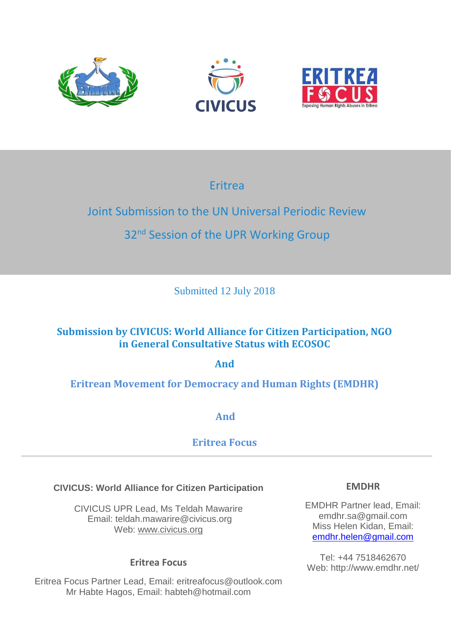





# Eritrea

# Joint Submission to the UN Universal Periodic Review

# 32<sup>nd</sup> Session of the UPR Working Group

Submitted 12 July 2018

# **Submission by CIVICUS: World Alliance for Citizen Participation, NGO in General Consultative Status with ECOSOC**

**And**

# **Eritrean Movement for Democracy and Human Rights (EMDHR)**

**And** 

# **Eritrea Focus**

## **CIVICUS: World Alliance for Citizen Participation**

CIVICUS UPR Lead, Ms Teldah Mawarire Email: teldah.mawarire@civicus.org Web: [www.civicus.org](http://www.civicus.org/)

## **Eritrea Focus**

Eritrea Focus Partner Lead, Email: eritreafocus@outlook.com Mr Habte Hagos, Email: habteh@hotmail.com

#### **EMDHR**

EMDHR Partner lead, Email: emdhr.sa@gmail.com Miss Helen Kidan, Email: [emdhr.helen@gmail.com](mailto:emdhr.helen@gmail.com)

Tel: +44 7518462670 Web: http://www.emdhr.net/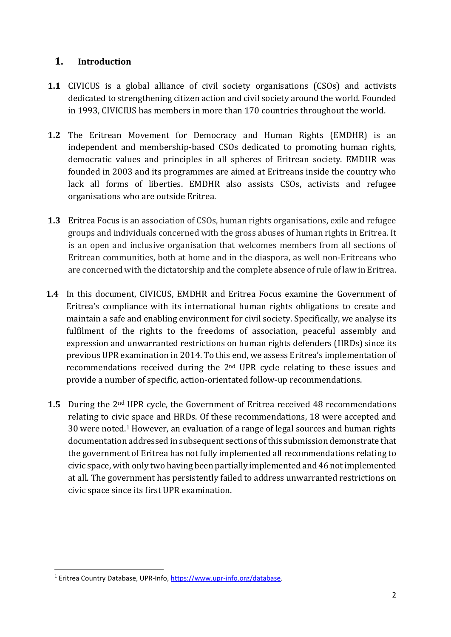#### **1. Introduction**

- **1.1** CIVICUS is a global alliance of civil society organisations (CSOs) and activists dedicated to strengthening citizen action and civil society around the world. Founded in 1993, CIVICIUS has members in more than 170 countries throughout the world.
- **1.2** The Eritrean Movement for Democracy and Human Rights (EMDHR) is an independent and membership-based CSOs dedicated to promoting human rights, democratic values and principles in all spheres of Eritrean society. EMDHR was founded in 2003 and its programmes are aimed at Eritreans inside the country who lack all forms of liberties. EMDHR also assists CSOs, activists and refugee organisations who are outside Eritrea.
- **1.3** Eritrea Focus is an association of CSOs, human rights organisations, exile and refugee groups and individuals concerned with the gross abuses of human rights in Eritrea. It is an open and inclusive organisation that welcomes members from all sections of Eritrean communities, both at home and in the diaspora, as well non-Eritreans who are concerned with the dictatorship and the complete absence of rule of law in Eritrea.
- **1.4** In this document, CIVICUS, EMDHR and Eritrea Focus examine the Government of Eritrea's compliance with its international human rights obligations to create and maintain a safe and enabling environment for civil society. Specifically, we analyse its fulfilment of the rights to the freedoms of association, peaceful assembly and expression and unwarranted restrictions on human rights defenders (HRDs) since its previous UPR examination in 2014. To this end, we assess Eritrea's implementation of recommendations received during the 2nd UPR cycle relating to these issues and provide a number of specific, action-orientated follow-up recommendations.
- **1.5** During the 2<sup>nd</sup> UPR cycle, the Government of Eritrea received 48 recommendations relating to civic space and HRDs. Of these recommendations, 18 were accepted and 30 were noted. <sup>1</sup> However, an evaluation of a range of legal sources and human rights documentation addressed in subsequent sections of this submission demonstrate that the government of Eritrea has not fully implemented all recommendations relating to civic space, with only two having been partially implemented and 46 not implemented at all. The government has persistently failed to address unwarranted restrictions on civic space since its first UPR examination.

<sup>1</sup> Eritrea Country Database, UPR-Info[, https://www.upr-info.org/database.](https://www.upr-info.org/database/)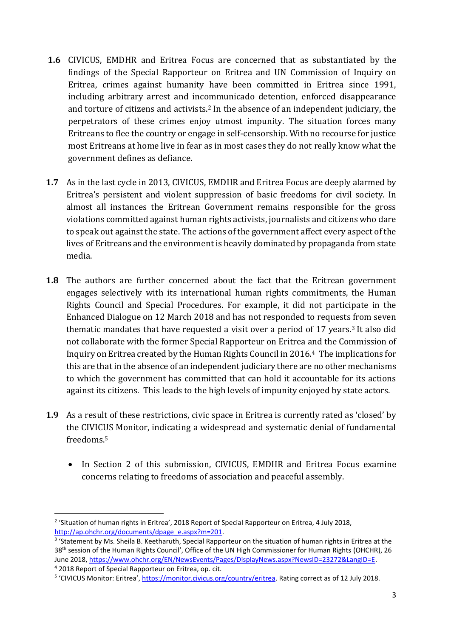- **1.6** CIVICUS, EMDHR and Eritrea Focus are concerned that as substantiated by the findings of the Special Rapporteur on Eritrea and UN Commission of Inquiry on Eritrea, crimes against humanity have been committed in Eritrea since 1991, including arbitrary arrest and incommunicado detention, enforced disappearance and torture of citizens and activists.<sup>2</sup> In the absence of an independent judiciary, the perpetrators of these crimes enjoy utmost impunity. The situation forces many Eritreans to flee the country or engage in self-censorship. With no recourse for justice most Eritreans at home live in fear as in most cases they do not really know what the government defines as defiance.
- **1.7** As in the last cycle in 2013, CIVICUS, EMDHR and Eritrea Focus are deeply alarmed by Eritrea's persistent and violent suppression of basic freedoms for civil society. In almost all instances the Eritrean Government remains responsible for the gross violations committed against human rights activists, journalists and citizens who dare to speak out against the state. The actions of the government affect every aspect of the lives of Eritreans and the environment is heavily dominated by propaganda from state media.
- **1.8** The authors are further concerned about the fact that the Eritrean government engages selectively with its international human rights commitments, the Human Rights Council and Special Procedures. For example, it did not participate in the Enhanced Dialogue on 12 March 2018 and has not responded to requests from seven thematic mandates that have requested a visit over a period of 17 years.<sup>3</sup> It also did not collaborate with the former Special Rapporteur on Eritrea and the Commission of Inquiry on Eritrea created by the Human Rights Council in 2016.<sup>4</sup> The implications for this are that in the absence of an independent judiciary there are no other mechanisms to which the government has committed that can hold it accountable for its actions against its citizens. This leads to the high levels of impunity enjoyed by state actors.
- **1.9** As a result of these restrictions, civic space in Eritrea is currently rated as 'closed' by the CIVICUS Monitor, indicating a widespread and systematic denial of fundamental freedoms.<sup>5</sup>
	- In Section 2 of this submission, CIVICUS, EMDHR and Eritrea Focus examine concerns relating to freedoms of association and peaceful assembly.

<sup>&</sup>lt;sup>2</sup> 'Situation of human rights in Eritrea', 2018 Report of Special Rapporteur on Eritrea, 4 July 2018, [http://ap.ohchr.org/documents/dpage\\_e.aspx?m=201.](http://ap.ohchr.org/documents/dpage_e.aspx?m=201)

<sup>&</sup>lt;sup>3</sup> 'Statement by Ms. Sheila B. Keetharuth, Special Rapporteur on the situation of human rights in Eritrea at the 38<sup>th</sup> session of the Human Rights Council', Office of the UN High Commissioner for Human Rights (OHCHR), 26 June 2018, [https://www.ohchr.org/EN/NewsEvents/Pages/DisplayNews.aspx?NewsID=23272&LangID=E.](https://www.ohchr.org/EN/NewsEvents/Pages/DisplayNews.aspx?NewsID=23272&LangID=E) <sup>4</sup> 2018 Report of Special Rapporteur on Eritrea, op. cit.

<sup>&</sup>lt;sup>5</sup> 'CIVICUS Monitor: Eritrea', [https://monitor.civicus.org/country/eritrea.](https://monitor.civicus.org/country/yemen/) Rating correct as of 12 July 2018.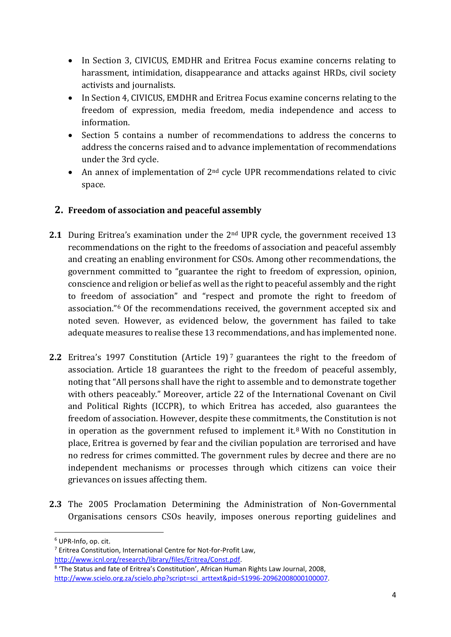- In Section 3, CIVICUS, EMDHR and Eritrea Focus examine concerns relating to harassment, intimidation, disappearance and attacks against HRDs, civil society activists and journalists.
- In Section 4, CIVICUS, EMDHR and Eritrea Focus examine concerns relating to the freedom of expression, media freedom, media independence and access to information.
- Section 5 contains a number of recommendations to address the concerns to address the concerns raised and to advance implementation of recommendations under the 3rd cycle.
- An annex of implementation of  $2<sup>nd</sup>$  cycle UPR recommendations related to civic space.

#### **2. Freedom of association and peaceful assembly**

- **2.1** During Eritrea's examination under the 2<sup>nd</sup> UPR cycle, the government received 13 recommendations on the right to the freedoms of association and peaceful assembly and creating an enabling environment for CSOs. Among other recommendations, the government committed to "guarantee the right to freedom of expression, opinion, conscience and religion or belief as well as the right to peaceful assembly and the right to freedom of association" and "respect and promote the right to freedom of association." <sup>6</sup> Of the recommendations received, the government accepted six and noted seven. However, as evidenced below, the government has failed to take adequate measures to realise these 13 recommendations, and has implemented none.
- **2.2** Eritrea's 1997 Constitution (Article 19)<sup>7</sup> guarantees the right to the freedom of association. Article 18 guarantees the right to the freedom of peaceful assembly, noting that "All persons shall have the right to assemble and to demonstrate together with others peaceably." Moreover, article 22 of the International Covenant on Civil and Political Rights (ICCPR), to which Eritrea has acceded, also guarantees the freedom of association. However, despite these commitments, the Constitution is not in operation as the government refused to implement it.<sup>8</sup> With no Constitution in place, Eritrea is governed by fear and the civilian population are terrorised and have no redress for crimes committed. The government rules by decree and there are no independent mechanisms or processes through which citizens can voice their grievances on issues affecting them.
- **2.3** The 2005 Proclamation Determining the Administration of Non-Governmental Organisations censors CSOs heavily, imposes onerous reporting guidelines and

<sup>6</sup> UPR-Info, op. cit.

<sup>7</sup> Eritrea Constitution, International Centre for Not-for-Profit Law,

[http://www.icnl.org/research/library/files/Eritrea/Const.pdf.](http://www.icnl.org/research/library/files/Eritrea/Const.pdf)

<sup>8</sup> 'The Status and fate of Eritrea's Constitution', African Human Rights Law Journal, 2008, [http://www.scielo.org.za/scielo.php?script=sci\\_arttext&pid=S1996-20962008000100007.](http://www.scielo.org.za/scielo.php?script=sci_arttext&pid=S1996-20962008000100007)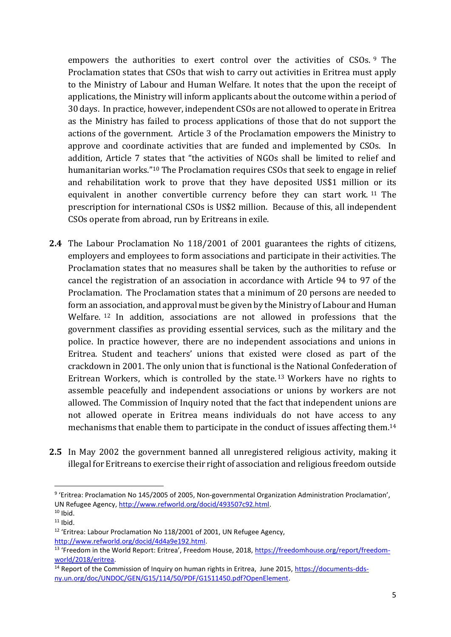empowers the authorities to exert control over the activities of CSOs.<sup>9</sup> The Proclamation states that CSOs that wish to carry out activities in Eritrea must apply to the Ministry of Labour and Human Welfare. It notes that the upon the receipt of applications, the Ministry will inform applicants about the outcome within a period of 30 days. In practice, however, independent CSOs are not allowed to operate in Eritrea as the Ministry has failed to process applications of those that do not support the actions of the government. Article 3 of the Proclamation empowers the Ministry to approve and coordinate activities that are funded and implemented by CSOs. In addition, Article 7 states that "the activities of NGOs shall be limited to relief and humanitarian works."<sup>10</sup> The Proclamation requires CSOs that seek to engage in relief and rehabilitation work to prove that they have deposited US\$1 million or its equivalent in another convertible currency before they can start work. <sup>11</sup> The prescription for international CSOs is US\$2 million. Because of this, all independent CSOs operate from abroad, run by Eritreans in exile.

- **2.4** The Labour Proclamation No 118/2001 of 2001 guarantees the rights of citizens, employers and employees to form associations and participate in their activities. The Proclamation states that no measures shall be taken by the authorities to refuse or cancel the registration of an association in accordance with Article 94 to 97 of the Proclamation. The Proclamation states that a minimum of 20 persons are needed to form an association, and approval must be given by the Ministry of Labour and Human Welfare. <sup>12</sup> In addition, associations are not allowed in professions that the government classifies as providing essential services, such as the military and the police. In practice however, there are no independent associations and unions in Eritrea. Student and teachers' unions that existed were closed as part of the crackdown in 2001. The only union that is functional is the National Confederation of Eritrean Workers, which is controlled by the state. <sup>13</sup> Workers have no rights to assemble peacefully and independent associations or unions by workers are not allowed. The Commission of Inquiry noted that the fact that independent unions are not allowed operate in Eritrea means individuals do not have access to any mechanisms that enable them to participate in the conduct of issues affecting them.<sup>14</sup>
- **2.5** In May 2002 the government banned all unregistered religious activity, making it illegal for Eritreans to exercise their right of association and religious freedom outside

<sup>&</sup>lt;sup>9</sup> 'Eritrea: Proclamation No 145/2005 of 2005, Non-governmental Organization Administration Proclamation', UN Refugee Agency, [http://www.refworld.org/docid/493507c92.html.](http://www.refworld.org/docid/493507c92.html)

 $10$  Ibid.

 $11$  Ibid.

<sup>&</sup>lt;sup>12</sup> 'Eritrea: Labour Proclamation No 118/2001 of 2001, UN Refugee Agency, [http://www.refworld.org/docid/4d4a9e192.html.](http://www.refworld.org/docid/4d4a9e192.html)

<sup>&</sup>lt;sup>13</sup> 'Freedom in the World Report: Eritrea', Freedom House, 2018, [https://freedomhouse.org/report/freedom](https://freedomhouse.org/report/freedom-world/2018/eritrea)[world/2018/eritrea.](https://freedomhouse.org/report/freedom-world/2018/eritrea)

<sup>&</sup>lt;sup>14</sup> Report of the Commission of Inquiry on human rights in Eritrea, June 2015, [https://documents-dds](https://documents-dds-ny.un.org/doc/UNDOC/GEN/G15/114/50/PDF/G1511450.pdf?OpenElement)[ny.un.org/doc/UNDOC/GEN/G15/114/50/PDF/G1511450.pdf?OpenElement.](https://documents-dds-ny.un.org/doc/UNDOC/GEN/G15/114/50/PDF/G1511450.pdf?OpenElement)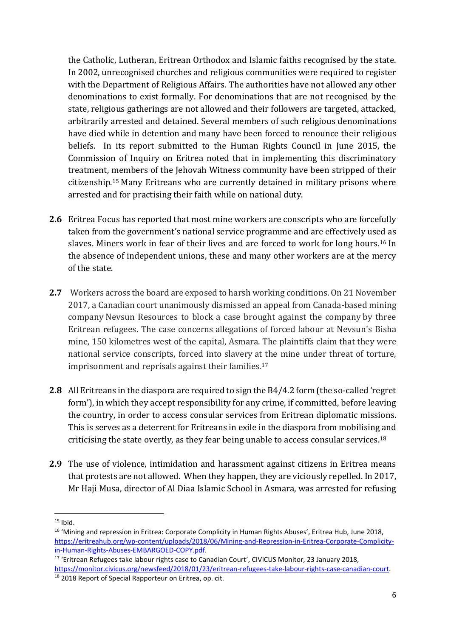the Catholic, Lutheran, Eritrean Orthodox and Islamic faiths recognised by the state. In 2002, unrecognised churches and religious communities were required to register with the Department of Religious Affairs. The authorities have not allowed any other denominations to exist formally. For denominations that are not recognised by the state, religious gatherings are not allowed and their followers are targeted, attacked, arbitrarily arrested and detained. Several members of such religious denominations have died while in detention and many have been forced to renounce their religious beliefs. In its report submitted to the Human Rights Council in June 2015, the Commission of Inquiry on Eritrea noted that in implementing this discriminatory treatment, members of the Jehovah Witness community have been stripped of their citizenship.<sup>15</sup> Many Eritreans who are currently detained in military prisons where arrested and for practising their faith while on national duty.

- **2.6** Eritrea Focus has reported that most mine workers are conscripts who are forcefully taken from the government's national service programme and are effectively used as slaves. Miners work in fear of their lives and are forced to work for long hours.<sup>16</sup> In the absence of independent unions, these and many other workers are at the mercy of the state.
- **2.7** Workers across the board are exposed to harsh working conditions. On 21 November 2017, a Canadian court unanimously dismissed an appeal from Canada-based mining company Nevsun Resources to block a case brought against the company by three Eritrean refugees. The case concerns allegations of forced labour at Nevsun's Bisha mine, 150 kilometres west of the capital, Asmara. The plaintiffs claim that they were national service conscripts, forced into slavery at the mine under threat of torture, imprisonment and reprisals against their families.<sup>17</sup>
- **2.8** All Eritreans in the diaspora are required to sign the B4/4.2 form (the so-called 'regret form'), in which they accept responsibility for any crime, if committed, before leaving the country, in order to access consular services from Eritrean diplomatic missions. This is serves as a deterrent for Eritreans in exile in the diaspora from mobilising and criticising the state overtly, as they fear being unable to access consular services. 18
- **2.9** The use of violence, intimidation and harassment against citizens in Eritrea means that protests are not allowed. When they happen, they are viciously repelled. In 2017, Mr Haji Musa, director of Al Diaa Islamic School in Asmara, was arrested for refusing

**<sup>.</sup>**  $15$  Ibid.

<sup>&</sup>lt;sup>16</sup> 'Mining and repression in Eritrea: Corporate Complicity in Human Rights Abuses', Eritrea Hub, June 2018, [https://eritreahub.org/wp-content/uploads/2018/06/Mining-and-Repression-in-Eritrea-Corporate-Complicity](https://eritreahub.org/wp-content/uploads/2018/06/Mining-and-Repression-in-Eritrea-Corporate-Complicity-in-Human-Rights-Abuses-EMBARGOED-COPY.pdf)[in-Human-Rights-Abuses-EMBARGOED-COPY.pdf.](https://eritreahub.org/wp-content/uploads/2018/06/Mining-and-Repression-in-Eritrea-Corporate-Complicity-in-Human-Rights-Abuses-EMBARGOED-COPY.pdf)

<sup>&</sup>lt;sup>17</sup> 'Eritrean Refugees take labour rights case to Canadian Court', CIVICUS Monitor, 23 January 2018, [https://monitor.civicus.org/newsfeed/2018/01/23/eritrean-refugees-take-labour-rights-case-canadian-court.](https://monitor.civicus.org/newsfeed/2018/01/23/eritrean-refugees-take-labour-rights-case-canadian-court/)

<sup>18</sup> 2018 Report of Special Rapporteur on Eritrea, op. cit.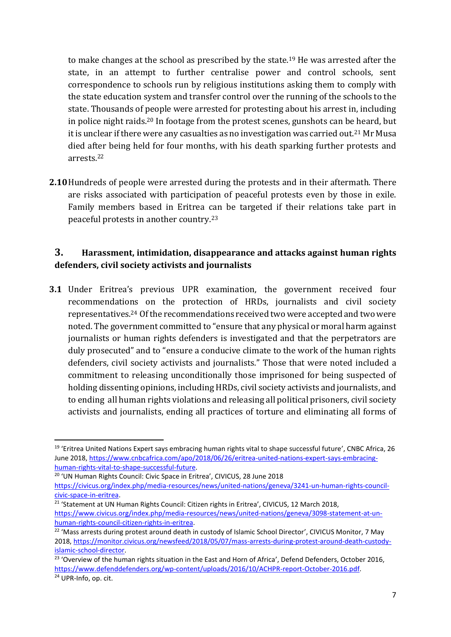to make changes at the school as prescribed by the state.<sup>19</sup> He was arrested after the state, in an attempt to further centralise power and control schools, sent correspondence to schools run by religious institutions asking them to comply with the state education system and transfer control over the running of the schools to the state. Thousands of people were arrested for protesting about his arrest in, including in police night raids.<sup>20</sup> In footage from the protest scenes, gunshots can be heard, but it is unclear if there were any casualties as no investigation was carried out.<sup>21</sup> Mr Musa died after being held for four months, with his death sparking further protests and arrests.<sup>22</sup>

**2.10**Hundreds of people were arrested during the protests and in their aftermath. There are risks associated with participation of peaceful protests even by those in exile. Family members based in Eritrea can be targeted if their relations take part in peaceful protests in another country. 23

#### **3. Harassment, intimidation, disappearance and attacks against human rights defenders, civil society activists and journalists**

**3.1** Under Eritrea's previous UPR examination, the government received four recommendations on the protection of HRDs, journalists and civil society representatives.<sup>24</sup> Of the recommendations received two were accepted and two were noted. The government committed to "ensure that any physical or moral harm against journalists or human rights defenders is investigated and that the perpetrators are duly prosecuted" and to "ensure a conducive climate to the work of the human rights defenders, civil society activists and journalists." Those that were noted included a commitment to releasing unconditionally those imprisoned for being suspected of holding dissenting opinions, including HRDs, civil society activists and journalists, and to ending all human rights violations and releasing all political prisoners, civil society activists and journalists, ending all practices of torture and eliminating all forms of

<sup>20</sup> 'UN Human Rights Council: Civic Space in Eritrea', CIVICUS, 28 June 2018

1

<sup>&</sup>lt;sup>19</sup> 'Eritrea United Nations Expert says embracing human rights vital to shape successful future', CNBC Africa, 26 June 2018, [https://www.cnbcafrica.com/apo/2018/06/26/eritrea-united-nations-expert-says-embracing](https://www.cnbcafrica.com/apo/2018/06/26/eritrea-united-nations-expert-says-embracing-human-rights-vital-to-shape-successful-future/)[human-rights-vital-to-shape-successful-future.](https://www.cnbcafrica.com/apo/2018/06/26/eritrea-united-nations-expert-says-embracing-human-rights-vital-to-shape-successful-future/)

[https://civicus.org/index.php/media-resources/news/united-nations/geneva/3241-un-human-rights-council](https://civicus.org/index.php/media-resources/news/united-nations/geneva/3241-un-human-rights-council-civic-space-in-eritrea)[civic-space-in-eritrea.](https://civicus.org/index.php/media-resources/news/united-nations/geneva/3241-un-human-rights-council-civic-space-in-eritrea)

<sup>&</sup>lt;sup>21</sup> 'Statement at UN Human Rights Council: Citizen rights in Eritrea', CIVICUS, 12 March 2018, [https://www.civicus.org/index.php/media-resources/news/united-nations/geneva/3098-statement-at-un](https://www.civicus.org/index.php/media-resources/news/united-nations/geneva/3098-statement-at-un-human-rights-council-citizen-rights-in-eritrea)[human-rights-council-citizen-rights-in-eritrea.](https://www.civicus.org/index.php/media-resources/news/united-nations/geneva/3098-statement-at-un-human-rights-council-citizen-rights-in-eritrea)

<sup>&</sup>lt;sup>22</sup> 'Mass arrests during protest around death in custody of Islamic School Director', CIVICUS Monitor, 7 May 2018, [https://monitor.civicus.org/newsfeed/2018/05/07/mass-arrests-during-protest-around-death-custody](https://monitor.civicus.org/newsfeed/2018/05/07/mass-arrests-during-protest-around-death-custody-islamic-school-director/)[islamic-school-director.](https://monitor.civicus.org/newsfeed/2018/05/07/mass-arrests-during-protest-around-death-custody-islamic-school-director/)

<sup>&</sup>lt;sup>23</sup> 'Overview of the human rights situation in the East and Horn of Africa', Defend Defenders, October 2016, [https://www.defenddefenders.org/wp-content/uploads/2016/10/ACHPR-report-October-2016.pdf.](https://www.defenddefenders.org/wp-content/uploads/2016/10/ACHPR-report-October-2016.pdf)

<sup>24</sup> UPR-Info, op. cit.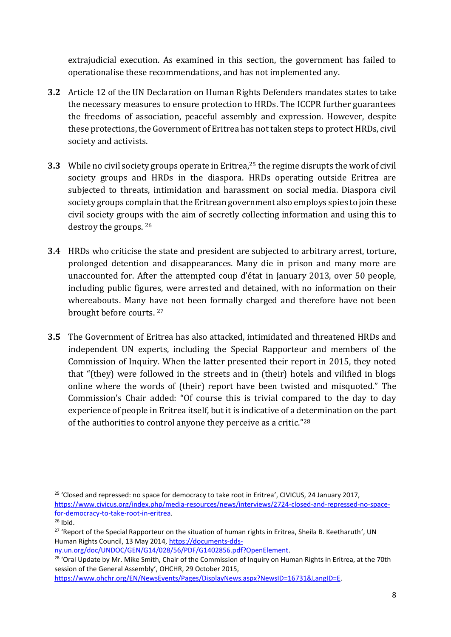extrajudicial execution. As examined in this section, the government has failed to operationalise these recommendations, and has not implemented any.

- **3.2** Article 12 of the UN Declaration on Human Rights Defenders mandates states to take the necessary measures to ensure protection to HRDs. The ICCPR further guarantees the freedoms of association, peaceful assembly and expression. However, despite these protections, the Government of Eritrea has not taken steps to protect HRDs, civil society and activists.
- **3.3** While no civil society groups operate in Eritrea,<sup>25</sup> the regime disrupts the work of civil society groups and HRDs in the diaspora. HRDs operating outside Eritrea are subjected to threats, intimidation and harassment on social media. Diaspora civil society groups complain that the Eritrean government also employs spies to join these civil society groups with the aim of secretly collecting information and using this to destroy the groups. <sup>26</sup>
- **3.4** HRDs who criticise the state and president are subjected to arbitrary arrest, torture, prolonged detention and disappearances. Many die in prison and many more are unaccounted for. After the attempted coup d'état in January 2013, over 50 people, including public figures, were arrested and detained, with no information on their whereabouts. Many have not been formally charged and therefore have not been brought before courts. 27
- **3.5** The Government of Eritrea has also attacked, intimidated and threatened HRDs and independent UN experts, including the Special Rapporteur and members of the Commission of Inquiry. When the latter presented their report in 2015, they noted that "(they) were followed in the streets and in (their) hotels and vilified in blogs online where the words of (their) report have been twisted and misquoted." The Commission's Chair added: "Of course this is trivial compared to the day to day experience of people in Eritrea itself, but it is indicative of a determination on the part of the authorities to control anyone they perceive as a critic."<sup>28</sup>

[ny.un.org/doc/UNDOC/GEN/G14/028/56/PDF/G1402856.pdf?OpenElement.](https://documents-dds-ny.un.org/doc/UNDOC/GEN/G14/028/56/PDF/G1402856.pdf?OpenElement)

**<sup>.</sup>** <sup>25</sup> 'Closed and repressed: no space for democracy to take root in Eritrea', CIVICUS, 24 January 2017, [https://www.civicus.org/index.php/media-resources/news/interviews/2724-closed-and-repressed-no-space](https://www.civicus.org/index.php/media-resources/news/interviews/2724-closed-and-repressed-no-space-for-democracy-to-take-root-in-eritrea)[for-democracy-to-take-root-in-eritrea.](https://www.civicus.org/index.php/media-resources/news/interviews/2724-closed-and-repressed-no-space-for-democracy-to-take-root-in-eritrea)

 $26$  Ibid.

<sup>&</sup>lt;sup>27</sup> 'Report of the Special Rapporteur on the situation of human rights in Eritrea, Sheila B. Keetharuth', UN Human Rights Council, 13 May 2014, [https://documents-dds-](https://documents-dds-ny.un.org/doc/UNDOC/GEN/G14/028/56/PDF/G1402856.pdf?OpenElement)

<sup>&</sup>lt;sup>28</sup> 'Oral Update by Mr. Mike Smith, Chair of the Commission of Inquiry on Human Rights in Eritrea, at the 70th session of the General Assembly', OHCHR, 29 October 2015,

[https://www.ohchr.org/EN/NewsEvents/Pages/DisplayNews.aspx?NewsID=16731&LangID=E.](https://www.ohchr.org/EN/NewsEvents/Pages/DisplayNews.aspx?NewsID=16731&LangID=E)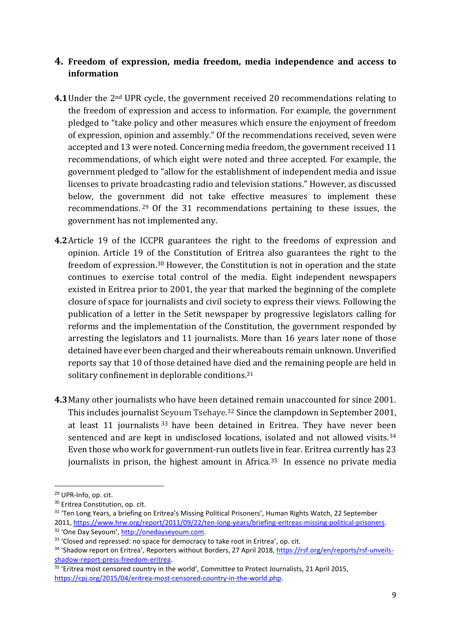#### **4. Freedom of expression, media freedom, media independence and access to information**

- **4.1**Under the 2nd UPR cycle, the government received 20 recommendations relating to the freedom of expression and access to information. For example, the government pledged to "take policy and other measures which ensure the enjoyment of freedom of expression, opinion and assembly." Of the recommendations received, seven were accepted and 13 were noted. Concerning media freedom, the government received 11 recommendations, of which eight were noted and three accepted. For example, the government pledged to "allow for the establishment of independent media and issue licenses to private broadcasting radio and television stations." However, as discussed below, the government did not take effective measures to implement these recommendations. <sup>29</sup> Of the 31 recommendations pertaining to these issues, the government has not implemented any.
- **4.2**Article 19 of the ICCPR guarantees the right to the freedoms of expression and opinion. Article 19 of the Constitution of Eritrea also guarantees the right to the freedom of expression.<sup>30</sup> However, the Constitution is not in operation and the state continues to exercise total control of the media. Eight independent newspapers existed in Eritrea prior to 2001, the year that marked the beginning of the complete closure of space for journalists and civil society to express their views. Following the publication of a letter in the Setit newspaper by progressive legislators calling for reforms and the implementation of the Constitution, the government responded by arresting the legislators and 11 journalists. More than 16 years later none of those detained have ever been charged and their whereabouts remain unknown. Unverified reports say that 10 of those detained have died and the remaining people are held in solitary confinement in deplorable conditions.<sup>31</sup>
- **4.3**Many other journalists who have been detained remain unaccounted for since 2001. This includes journalist Seyoum Tsehaye. <sup>32</sup> Since the clampdown in September 2001, at least 11 journalists<sup>33</sup> have been detained in Eritrea. They have never been sentenced and are kept in undisclosed locations, isolated and not allowed visits.<sup>34</sup> Even those who work for government-run outlets live in fear. Eritrea currently has 23 journalists in prison, the highest amount in Africa.<sup>35</sup> In essence no private media

<sup>29</sup> UPR-Info, op. cit.

<sup>&</sup>lt;sup>30</sup> Eritrea Constitution, op. cit.

<sup>&</sup>lt;sup>31</sup> 'Ten Long Years, a briefing on Eritrea's Missing Political Prisoners', Human Rights Watch, 22 September 2011, [https://www.hrw.org/report/2011/09/22/ten-long-years/briefing-eritreas-missing-political-prisoners.](https://www.hrw.org/report/2011/09/22/ten-long-years/briefing-eritreas-missing-political-prisoners)

<sup>32</sup> 'One Day Seyoum', [http://onedayseyoum.com.](http://onedayseyoum.com/)

<sup>33 &#</sup>x27;Closed and repressed: no space for democracy to take root in Eritrea', op. cit. <sup>34</sup> 'Shadow report on Eritrea', Reporters without Borders, 27 April 2018, [https://rsf.org/en/reports/rsf-unveils](https://rsf.org/en/reports/rsf-unveils-shadow-report-press-freedom-eritrea)[shadow-report-press-freedom-eritrea.](https://rsf.org/en/reports/rsf-unveils-shadow-report-press-freedom-eritrea)

<sup>&</sup>lt;sup>35</sup> 'Eritrea most censored country in the world', Committee to Protect Journalists, 21 April 2015, [https://cpj.org/2015/04/eritrea-most-censored-country-in-the-world.php.](https://cpj.org/2015/04/eritrea-most-censored-country-in-the-world.php)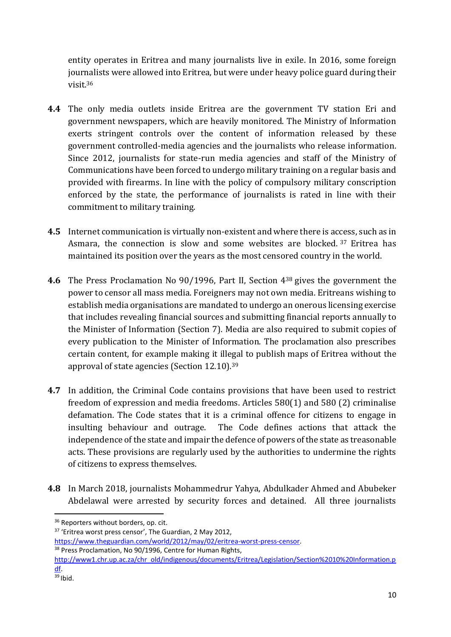entity operates in Eritrea and many journalists live in exile. In 2016, some foreign journalists were allowed into Eritrea, but were under heavy police guard during their visit.<sup>36</sup>

- **4.4** The only media outlets inside Eritrea are the government TV station Eri and government newspapers, which are heavily monitored. The Ministry of Information exerts stringent controls over the content of information released by these government controlled-media agencies and the journalists who release information. Since 2012, journalists for state-run media agencies and staff of the Ministry of Communications have been forced to undergo military training on a regular basis and provided with firearms. In line with the policy of compulsory military conscription enforced by the state, the performance of journalists is rated in line with their commitment to military training.
- **4.5** Internet communication is virtually non-existent and where there is access, such as in Asmara, the connection is slow and some websites are blocked. 37 Eritrea has maintained its position over the years as the most censored country in the world.
- **4.6** The Press Proclamation No 90/1996, Part II, Section 4<sup>38</sup> gives the government the power to censor all mass media. Foreigners may not own media. Eritreans wishing to establish media organisations are mandated to undergo an onerous licensing exercise that includes revealing financial sources and submitting financial reports annually to the Minister of Information (Section 7). Media are also required to submit copies of every publication to the Minister of Information. The proclamation also prescribes certain content, for example making it illegal to publish maps of Eritrea without the approval of state agencies (Section 12.10). 39
- **4.7** In addition, the Criminal Code contains provisions that have been used to restrict freedom of expression and media freedoms. Articles 580(1) and 580 (2) criminalise defamation. The Code states that it is a criminal offence for citizens to engage in insulting behaviour and outrage. The Code defines actions that attack the independence of the state and impair the defence of powers of the state as treasonable acts. These provisions are regularly used by the authorities to undermine the rights of citizens to express themselves.
- **4.8** In March 2018, journalists Mohammedrur Yahya, Abdulkader Ahmed and Abubeker Abdelawal were arrested by security forces and detained. All three journalists

<sup>&</sup>lt;sup>36</sup> Reporters without borders, op. cit.

<sup>&</sup>lt;sup>37</sup> 'Eritrea worst press censor', The Guardian, 2 May 2012,

[https://www.theguardian.com/world/2012/may/02/eritrea-worst-press-censor.](https://www.theguardian.com/world/2012/may/02/eritrea-worst-press-censor)

<sup>&</sup>lt;sup>38</sup> Press Proclamation, No 90/1996, Centre for Human Rights,

[http://www1.chr.up.ac.za/chr\\_old/indigenous/documents/Eritrea/Legislation/Section%2010%20Information.p](http://www1.chr.up.ac.za/chr_old/indigenous/documents/Eritrea/Legislation/Section%2010%20Information.pdf) [df.](http://www1.chr.up.ac.za/chr_old/indigenous/documents/Eritrea/Legislation/Section%2010%20Information.pdf)

 $39$  Ibid.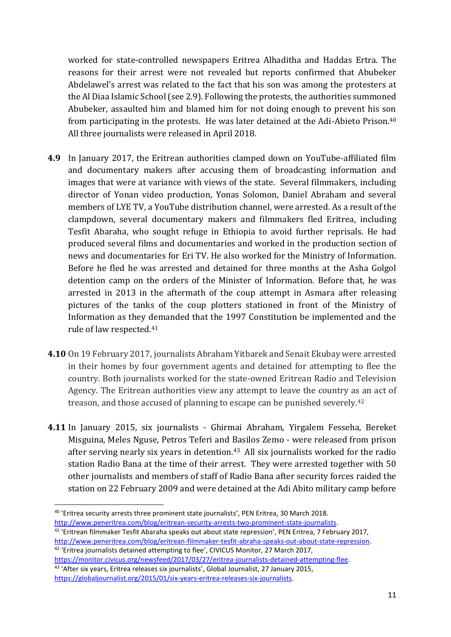worked for state-controlled newspapers Eritrea Alhaditha and Haddas Ertra. The reasons for their arrest were not revealed but reports confirmed that Abubeker Abdelawel's arrest was related to the fact that his son was among the protesters at the Al Diaa Islamic School (see 2.9). Following the protests, the authorities summoned Abubeker, assaulted him and blamed him for not doing enough to prevent his son from participating in the protests. He was later detained at the Adi-Abieto Prison.<sup>40</sup> All three journalists were released in April 2018.

- **4.9** In January 2017, the Eritrean authorities clamped down on YouTube-affiliated film and documentary makers after accusing them of broadcasting information and images that were at variance with views of the state. Several filmmakers, including director of Yonan video production, Yonas Solomon, Daniel Abraham and several members of LYE TV, a YouTube distribution channel, were arrested. As a result of the clampdown, several documentary makers and filmmakers fled Eritrea, including Tesfit Abaraha, who sought refuge in Ethiopia to avoid further reprisals. He had produced several films and documentaries and worked in the production section of news and documentaries for Eri TV. He also worked for the Ministry of Information. Before he fled he was arrested and detained for three months at the Asha Golgol detention camp on the orders of the Minister of Information. Before that, he was arrested in 2013 in the aftermath of the coup attempt in Asmara after releasing pictures of the tanks of the coup plotters stationed in front of the Ministry of Information as they demanded that the 1997 Constitution be implemented and the rule of law respected.<sup>41</sup>
- **4.10** On 19 February 2017, journalists Abraham Yitbarek and Senait Ekubay were arrested in their homes by four government agents and detained for attempting to flee the country. Both journalists worked for the state-owned Eritrean Radio and Television Agency. The Eritrean authorities view any attempt to leave the country as an act of treason, and those accused of planning to escape can be punished severely.<sup>42</sup>
- **4.11** In January 2015, six journalists Ghirmai Abraham, Yirgalem Fesseha, Bereket Misguina, Meles Nguse, Petros Teferi and Basilos Zemo - were released from prison after serving nearly six years in detention.<sup>43</sup> All six journalists worked for the radio station Radio Bana at the time of their arrest. They were arrested together with 50 other journalists and members of staff of Radio Bana after security forces raided the station on 22 February 2009 and were detained at the Adi Abito military camp before

1

[http://www.peneritrea.com/blog/eritrean-filmmaker-tesfit-abraha-speaks-out-about-state-repression.](http://www.peneritrea.com/blog/eritrean-filmmaker-tesfit-abraha-speaks-out-about-state-repression) <sup>42</sup> 'Eritrea journalists detained attempting to flee', CIVICUS Monitor, 27 March 2017,

<sup>&</sup>lt;sup>40</sup> 'Eritrea security arrests three prominent state journalists', PEN Eritrea, 30 March 2018. [http://www.peneritrea.com/blog/eritrean-security-arrests-two-prominent-state-journalists.](http://www.peneritrea.com/blog/eritrean-security-arrests-two-prominent-state-journalists) <sup>41</sup> 'Eritrean filmmaker Tesfit Abaraha speaks out about state repression', PEN Eritrea, 7 February 2017,

[https://monitor.civicus.org/newsfeed/2017/03/27/eritrea-journalists-detained-attempting-flee.](https://monitor.civicus.org/newsfeed/2017/03/27/eritrea-journalists-detained-attempting-flee/) 43 'After six years, Eritrea releases six journalists', Global Journalist, 27 January 2015, [https://globaljournalist.org/2015/01/six-years-eritrea-releases-six-journalists.](https://globaljournalist.org/2015/01/six-years-eritrea-releases-six-journalists)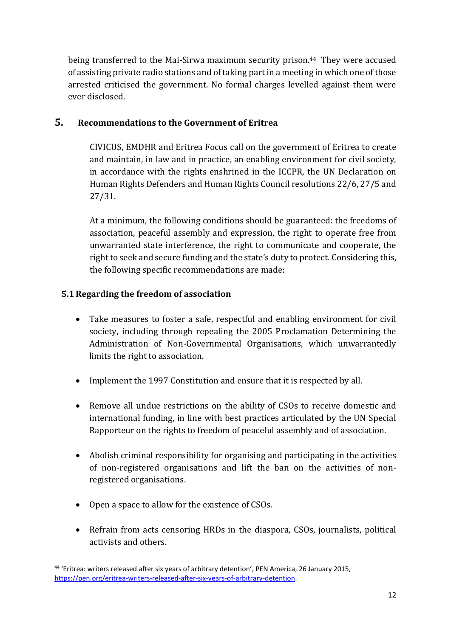being transferred to the Mai-Sirwa maximum security prison. <sup>44</sup> They were accused of assisting private radio stations and of taking part in a meeting in which one of those arrested criticised the government. No formal charges levelled against them were ever disclosed.

#### **5. Recommendations to the Government of Eritrea**

CIVICUS, EMDHR and Eritrea Focus call on the government of Eritrea to create and maintain, in law and in practice, an enabling environment for civil society, in accordance with the rights enshrined in the ICCPR, the UN Declaration on Human Rights Defenders and Human Rights Council resolutions 22/6, 27/5 and 27/31.

At a minimum, the following conditions should be guaranteed: the freedoms of association, peaceful assembly and expression, the right to operate free from unwarranted state interference, the right to communicate and cooperate, the right to seek and secure funding and the state's duty to protect. Considering this, the following specific recommendations are made:

#### **5.1 Regarding the freedom of association**

- Take measures to foster a safe, respectful and enabling environment for civil society, including through repealing the 2005 Proclamation Determining the Administration of Non-Governmental Organisations, which unwarrantedly limits the right to association.
- Implement the 1997 Constitution and ensure that it is respected by all.
- Remove all undue restrictions on the ability of CSOs to receive domestic and international funding, in line with best practices articulated by the UN Special Rapporteur on the rights to freedom of peaceful assembly and of association.
- Abolish criminal responsibility for organising and participating in the activities of non-registered organisations and lift the ban on the activities of nonregistered organisations.
- Open a space to allow for the existence of CSOs.
- Refrain from acts censoring HRDs in the diaspora, CSOs, journalists, political activists and others.

<sup>1</sup> 44 'Eritrea: writers released after six years of arbitrary detention', PEN America, 26 January 2015, [https://pen.org/eritrea-writers-released-after-six-years-of-arbitrary-detention.](https://pen.org/eritrea-writers-released-after-six-years-of-arbitrary-detention/)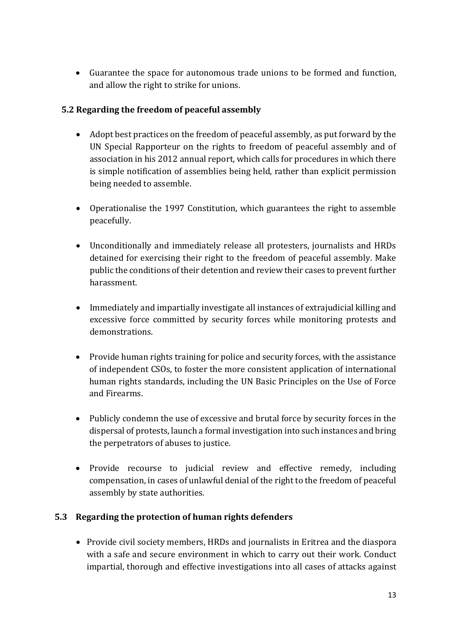Guarantee the space for autonomous trade unions to be formed and function, and allow the right to strike for unions.

#### **5.2 Regarding the freedom of peaceful assembly**

- Adopt best practices on the freedom of peaceful assembly, as put forward by the UN Special Rapporteur on the rights to freedom of peaceful assembly and of association in his 2012 annual report, which calls for procedures in which there is simple notification of assemblies being held, rather than explicit permission being needed to assemble.
- Operationalise the 1997 Constitution, which guarantees the right to assemble peacefully.
- Unconditionally and immediately release all protesters, journalists and HRDs detained for exercising their right to the freedom of peaceful assembly. Make public the conditions of their detention and review their cases to prevent further harassment.
- Immediately and impartially investigate all instances of extrajudicial killing and excessive force committed by security forces while monitoring protests and demonstrations.
- Provide human rights training for police and security forces, with the assistance of independent CSOs, to foster the more consistent application of international human rights standards, including the UN Basic Principles on the Use of Force and Firearms.
- Publicly condemn the use of excessive and brutal force by security forces in the dispersal of protests, launch a formal investigation into such instances and bring the perpetrators of abuses to justice.
- Provide recourse to judicial review and effective remedy, including compensation, in cases of unlawful denial of the right to the freedom of peaceful assembly by state authorities.

#### **5.3 Regarding the protection of human rights defenders**

 Provide civil society members, HRDs and journalists in Eritrea and the diaspora with a safe and secure environment in which to carry out their work. Conduct impartial, thorough and effective investigations into all cases of attacks against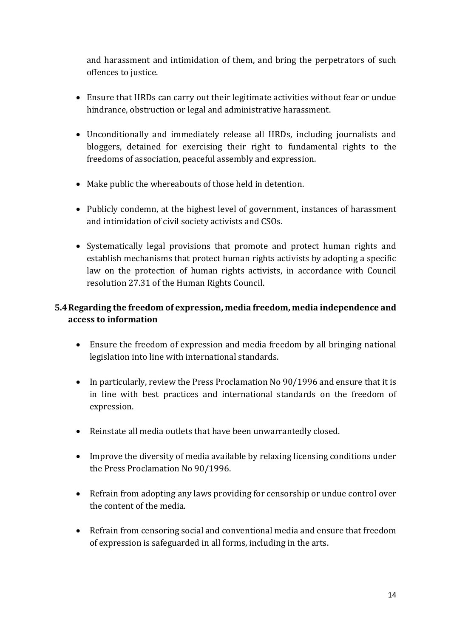and harassment and intimidation of them, and bring the perpetrators of such offences to justice.

- Ensure that HRDs can carry out their legitimate activities without fear or undue hindrance, obstruction or legal and administrative harassment.
- Unconditionally and immediately release all HRDs, including journalists and bloggers, detained for exercising their right to fundamental rights to the freedoms of association, peaceful assembly and expression.
- Make public the whereabouts of those held in detention.
- Publicly condemn, at the highest level of government, instances of harassment and intimidation of civil society activists and CSOs.
- Systematically legal provisions that promote and protect human rights and establish mechanisms that protect human rights activists by adopting a specific law on the protection of human rights activists, in accordance with Council resolution 27.31 of the Human Rights Council.

#### **5.4Regarding the freedom of expression, media freedom, media independence and access to information**

- Ensure the freedom of expression and media freedom by all bringing national legislation into line with international standards.
- In particularly, review the Press Proclamation No 90/1996 and ensure that it is in line with best practices and international standards on the freedom of expression.
- Reinstate all media outlets that have been unwarrantedly closed.
- Improve the diversity of media available by relaxing licensing conditions under the Press Proclamation No 90/1996.
- Refrain from adopting any laws providing for censorship or undue control over the content of the media.
- Refrain from censoring social and conventional media and ensure that freedom of expression is safeguarded in all forms, including in the arts.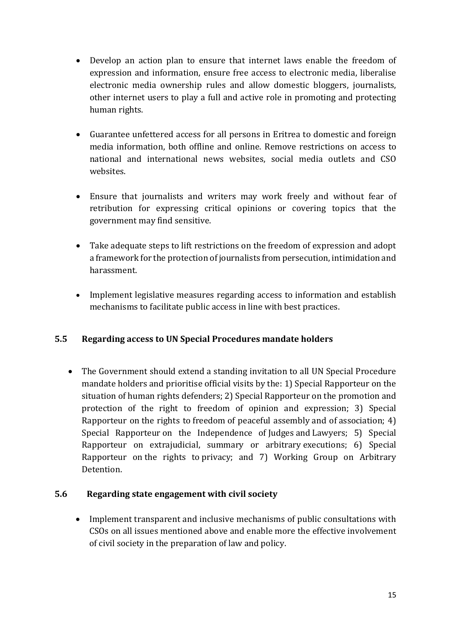- Develop an action plan to ensure that internet laws enable the freedom of expression and information, ensure free access to electronic media, liberalise electronic media ownership rules and allow domestic bloggers, journalists, other internet users to play a full and active role in promoting and protecting human rights.
- Guarantee unfettered access for all persons in Eritrea to domestic and foreign media information, both offline and online. Remove restrictions on access to national and international news websites, social media outlets and CSO websites.
- Ensure that journalists and writers may work freely and without fear of retribution for expressing critical opinions or covering topics that the government may find sensitive.
- Take adequate steps to lift restrictions on the freedom of expression and adopt a framework for the protection of journalists from persecution, intimidation and harassment.
- Implement legislative measures regarding access to information and establish mechanisms to facilitate public access in line with best practices.

#### **5.5 Regarding access to UN Special Procedures mandate holders**

 The Government should extend a standing invitation to all UN Special Procedure mandate holders and prioritise official visits by the: 1) Special Rapporteur on the situation of human rights defenders; 2) Special Rapporteur on the promotion and protection of the right to freedom of opinion and expression; 3) Special Rapporteur on the rights to freedom of peaceful assembly and of association; 4) Special Rapporteur on the Independence of Judges and Lawyers; 5) Special Rapporteur on extrajudicial, summary or arbitrary executions; 6) Special Rapporteur on the rights to privacy; and 7) Working Group on Arbitrary Detention.

#### **5.6 Regarding state engagement with civil society**

 Implement transparent and inclusive mechanisms of public consultations with CSOs on all issues mentioned above and enable more the effective involvement of civil society in the preparation of law and policy.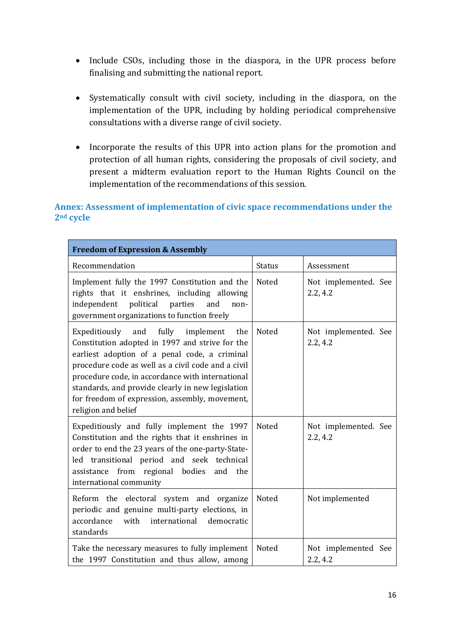- Include CSOs, including those in the diaspora, in the UPR process before finalising and submitting the national report.
- Systematically consult with civil society, including in the diaspora, on the implementation of the UPR, including by holding periodical comprehensive consultations with a diverse range of civil society.
- Incorporate the results of this UPR into action plans for the promotion and protection of all human rights, considering the proposals of civil society, and present a midterm evaluation report to the Human Rights Council on the implementation of the recommendations of this session.

#### **Annex: Assessment of implementation of civic space recommendations under the 2nd cycle**

| <b>Freedom of Expression &amp; Assembly</b>                                                                                                                                                                                                                                                                                                                                             |               |                                  |
|-----------------------------------------------------------------------------------------------------------------------------------------------------------------------------------------------------------------------------------------------------------------------------------------------------------------------------------------------------------------------------------------|---------------|----------------------------------|
| Recommendation                                                                                                                                                                                                                                                                                                                                                                          | <b>Status</b> | Assessment                       |
| Implement fully the 1997 Constitution and the<br>rights that it enshrines, including allowing<br>political<br>independent<br>parties<br>and<br>non-<br>government organizations to function freely                                                                                                                                                                                      | Noted         | Not implemented. See<br>2.2, 4.2 |
| Expeditiously and fully<br>implement<br>the<br>Constitution adopted in 1997 and strive for the<br>earliest adoption of a penal code, a criminal<br>procedure code as well as a civil code and a civil<br>procedure code, in accordance with international<br>standards, and provide clearly in new legislation<br>for freedom of expression, assembly, movement,<br>religion and belief | Noted         | Not implemented. See<br>2.2, 4.2 |
| Expeditiously and fully implement the 1997<br>Constitution and the rights that it enshrines in<br>order to end the 23 years of the one-party-State-<br>led transitional period and seek technical<br>assistance from regional bodies and the<br>international community                                                                                                                 | Noted         | Not implemented. See<br>2.2, 4.2 |
| Reform the electoral system and organize<br>periodic and genuine multi-party elections, in<br>accordance<br>with<br>international<br>democratic<br>standards                                                                                                                                                                                                                            | Noted         | Not implemented                  |
| Take the necessary measures to fully implement<br>the 1997 Constitution and thus allow, among                                                                                                                                                                                                                                                                                           | Noted         | Not implemented See<br>2.2, 4.2  |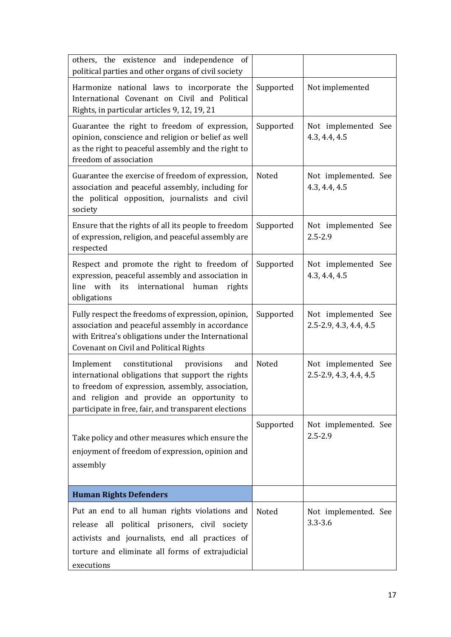| others, the existence and independence of<br>political parties and other organs of civil society                                                                                                                                                                |           |                                               |
|-----------------------------------------------------------------------------------------------------------------------------------------------------------------------------------------------------------------------------------------------------------------|-----------|-----------------------------------------------|
| Harmonize national laws to incorporate the<br>International Covenant on Civil and Political<br>Rights, in particular articles 9, 12, 19, 21                                                                                                                     | Supported | Not implemented                               |
| Guarantee the right to freedom of expression,<br>opinion, conscience and religion or belief as well<br>as the right to peaceful assembly and the right to<br>freedom of association                                                                             | Supported | Not implemented See<br>4.3, 4.4, 4.5          |
| Guarantee the exercise of freedom of expression,<br>association and peaceful assembly, including for<br>the political opposition, journalists and civil<br>society                                                                                              | Noted     | Not implemented. See<br>4.3, 4.4, 4.5         |
| Ensure that the rights of all its people to freedom<br>of expression, religion, and peaceful assembly are<br>respected                                                                                                                                          | Supported | Not implemented See<br>$2.5 - 2.9$            |
| Respect and promote the right to freedom of<br>expression, peaceful assembly and association in<br>with its<br>international human<br>line<br>rights<br>obligations                                                                                             | Supported | Not implemented See<br>4.3, 4.4, 4.5          |
| Fully respect the freedoms of expression, opinion,<br>association and peaceful assembly in accordance<br>with Eritrea's obligations under the International<br><b>Covenant on Civil and Political Rights</b>                                                    | Supported | Not implemented See<br>2.5-2.9, 4.3, 4.4, 4.5 |
| constitutional<br>Implement<br>provisions<br>and<br>international obligations that support the rights<br>to freedom of expression, assembly, association,<br>and religion and provide an opportunity to<br>participate in free, fair, and transparent elections | Noted     | Not implemented See<br>2.5-2.9, 4.3, 4.4, 4.5 |
| Take policy and other measures which ensure the<br>enjoyment of freedom of expression, opinion and<br>assembly                                                                                                                                                  | Supported | Not implemented. See<br>$2.5 - 2.9$           |
| <b>Human Rights Defenders</b>                                                                                                                                                                                                                                   |           |                                               |
| Put an end to all human rights violations and<br>release all political prisoners, civil society<br>activists and journalists, end all practices of<br>torture and eliminate all forms of extrajudicial<br>executions                                            | Noted     | Not implemented. See<br>$3.3 - 3.6$           |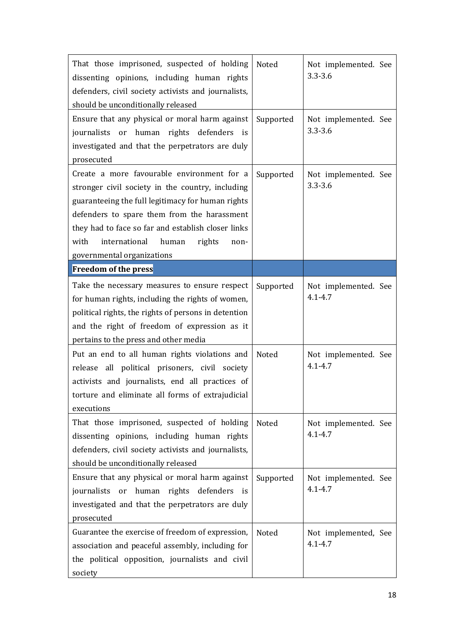| That those imprisoned, suspected of holding<br>dissenting opinions, including human rights<br>defenders, civil society activists and journalists,<br>should be unconditionally released                                                                                                                                                    | Noted     | Not implemented. See<br>$3.3 - 3.6$ |
|--------------------------------------------------------------------------------------------------------------------------------------------------------------------------------------------------------------------------------------------------------------------------------------------------------------------------------------------|-----------|-------------------------------------|
| Ensure that any physical or moral harm against<br>journalists or human rights defenders<br>is<br>investigated and that the perpetrators are duly<br>prosecuted                                                                                                                                                                             | Supported | Not implemented. See<br>$3.3 - 3.6$ |
| Create a more favourable environment for a<br>stronger civil society in the country, including<br>guaranteeing the full legitimacy for human rights<br>defenders to spare them from the harassment<br>they had to face so far and establish closer links<br>international<br>with<br>human<br>rights<br>non-<br>governmental organizations | Supported | Not implemented. See<br>$3.3 - 3.6$ |
| <b>Freedom of the press</b>                                                                                                                                                                                                                                                                                                                |           |                                     |
| Take the necessary measures to ensure respect<br>for human rights, including the rights of women,<br>political rights, the rights of persons in detention<br>and the right of freedom of expression as it<br>pertains to the press and other media                                                                                         | Supported | Not implemented. See<br>$4.1 - 4.7$ |
| Put an end to all human rights violations and<br>release all political prisoners, civil society<br>activists and journalists, end all practices of<br>torture and eliminate all forms of extrajudicial<br>executions                                                                                                                       | Noted     | Not implemented. See<br>$4.1 - 4.7$ |
| That those imprisoned, suspected of holding<br>dissenting opinions, including human rights<br>defenders, civil society activists and journalists,<br>should be unconditionally released                                                                                                                                                    | Noted     | Not implemented. See<br>$4.1 - 4.7$ |
| Ensure that any physical or moral harm against<br>journalists<br>human rights defenders<br>or<br>is<br>investigated and that the perpetrators are duly<br>prosecuted                                                                                                                                                                       | Supported | Not implemented. See<br>$4.1 - 4.7$ |
| Guarantee the exercise of freedom of expression,<br>association and peaceful assembly, including for<br>the political opposition, journalists and civil<br>society                                                                                                                                                                         | Noted     | Not implemented, See<br>$4.1 - 4.7$ |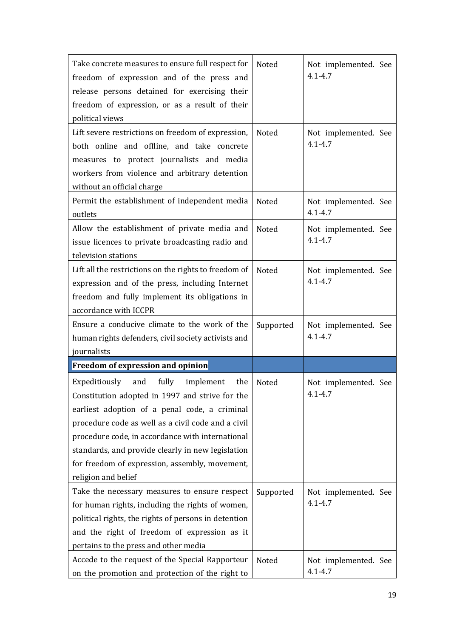| Take concrete measures to ensure full respect for<br>freedom of expression and of the press and<br>release persons detained for exercising their<br>freedom of expression, or as a result of their<br>political views<br>Lift severe restrictions on freedom of expression, | Noted<br>Noted | Not implemented. See<br>$4.1 - 4.7$<br>Not implemented. See |
|-----------------------------------------------------------------------------------------------------------------------------------------------------------------------------------------------------------------------------------------------------------------------------|----------------|-------------------------------------------------------------|
| both online and offline, and take concrete<br>measures to protect journalists and media<br>workers from violence and arbitrary detention<br>without an official charge                                                                                                      |                | $4.1 - 4.7$                                                 |
| Permit the establishment of independent media<br>outlets                                                                                                                                                                                                                    | Noted          | Not implemented. See<br>$4.1 - 4.7$                         |
| Allow the establishment of private media and<br>issue licences to private broadcasting radio and<br>television stations                                                                                                                                                     | Noted          | Not implemented. See<br>$4.1 - 4.7$                         |
| Lift all the restrictions on the rights to freedom of<br>expression and of the press, including Internet<br>freedom and fully implement its obligations in<br>accordance with ICCPR                                                                                         | Noted          | Not implemented. See<br>$4.1 - 4.7$                         |
| Ensure a conducive climate to the work of the<br>human rights defenders, civil society activists and<br>journalists                                                                                                                                                         | Supported      | Not implemented. See<br>$4.1 - 4.7$                         |
| Freedom of expression and opinion                                                                                                                                                                                                                                           |                |                                                             |
| fully<br>Expeditiously<br>and<br>implement<br>the<br>Constitution adopted in 1997 and strive for the<br>earliest adoption of a penal code, a criminal<br>procedure code as well as a civil code and a civil                                                                 | <b>Noted</b>   | Not implemented. See<br>$4.1 - 4.7$                         |
| procedure code, in accordance with international<br>standards, and provide clearly in new legislation<br>for freedom of expression, assembly, movement,<br>religion and belief                                                                                              |                |                                                             |
| Take the necessary measures to ensure respect<br>for human rights, including the rights of women,<br>political rights, the rights of persons in detention<br>and the right of freedom of expression as it<br>pertains to the press and other media                          | Supported      | Not implemented. See<br>$4.1 - 4.7$                         |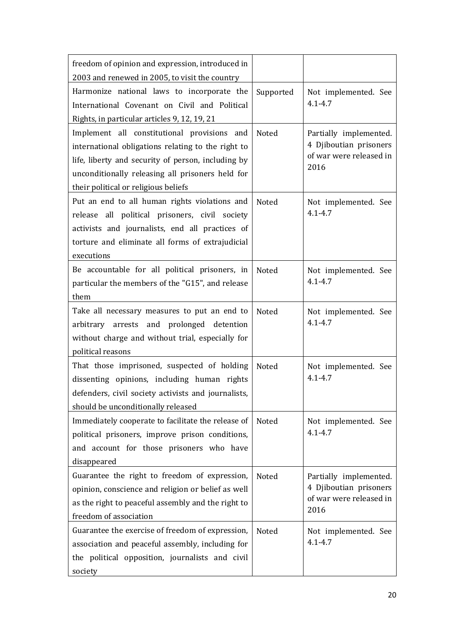| freedom of opinion and expression, introduced in<br>2003 and renewed in 2005, to visit the country                                                                                                                                                  |           |                                                                                     |
|-----------------------------------------------------------------------------------------------------------------------------------------------------------------------------------------------------------------------------------------------------|-----------|-------------------------------------------------------------------------------------|
| Harmonize national laws to incorporate the<br>International Covenant on Civil and Political<br>Rights, in particular articles 9, 12, 19, 21                                                                                                         | Supported | Not implemented. See<br>$4.1 - 4.7$                                                 |
| Implement all constitutional provisions and<br>international obligations relating to the right to<br>life, liberty and security of person, including by<br>unconditionally releasing all prisoners held for<br>their political or religious beliefs | Noted     | Partially implemented.<br>4 Djiboutian prisoners<br>of war were released in<br>2016 |
| Put an end to all human rights violations and<br>release all political prisoners, civil society<br>activists and journalists, end all practices of<br>torture and eliminate all forms of extrajudicial<br>executions                                | Noted     | Not implemented. See<br>$4.1 - 4.7$                                                 |
| Be accountable for all political prisoners, in<br>particular the members of the "G15", and release<br>them                                                                                                                                          | Noted     | Not implemented. See<br>$4.1 - 4.7$                                                 |
| Take all necessary measures to put an end to<br>arbitrary arrests and prolonged detention<br>without charge and without trial, especially for<br>political reasons                                                                                  | Noted     | Not implemented. See<br>$4.1 - 4.7$                                                 |
| That those imprisoned, suspected of holding<br>dissenting opinions, including human rights<br>defenders, civil society activists and journalists,<br>should be unconditionally released                                                             | Noted     | Not implemented. See<br>$4.1 - 4.7$                                                 |
| Immediately cooperate to facilitate the release of<br>political prisoners, improve prison conditions,<br>and account for those prisoners who have<br>disappeared                                                                                    | Noted     | Not implemented. See<br>$4.1 - 4.7$                                                 |
| Guarantee the right to freedom of expression,<br>opinion, conscience and religion or belief as well<br>as the right to peaceful assembly and the right to<br>freedom of association                                                                 | Noted     | Partially implemented.<br>4 Djiboutian prisoners<br>of war were released in<br>2016 |
| Guarantee the exercise of freedom of expression,<br>association and peaceful assembly, including for<br>the political opposition, journalists and civil<br>society                                                                                  | Noted     | Not implemented. See<br>$4.1 - 4.7$                                                 |